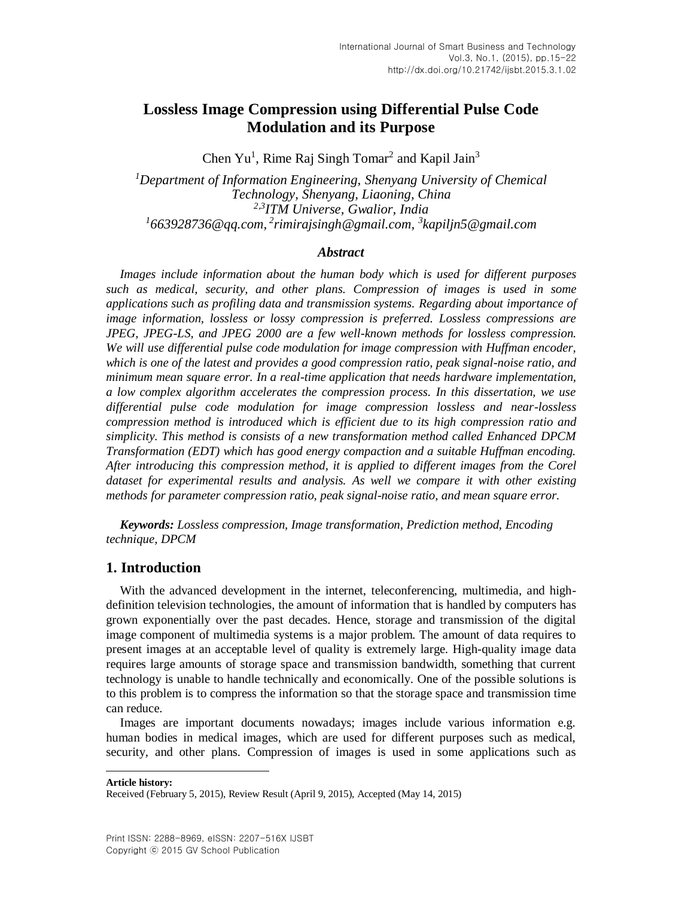# **Lossless Image Compression using Differential Pulse Code Modulation and its Purpose**

Chen Yu<sup>1</sup>, Rime Raj Singh Tomar<sup>2</sup> and Kapil Jain<sup>3</sup>

*<sup>1</sup>Department of Information Engineering, Shenyang University of Chemical Technology, Shenyang, Liaoning, China 2,3 ITM Universe, Gwalior, India 1 663928736@qq.com, 2 rimirajsingh@gmail.com, 3 kapiljn5@gmail.com*

### *Abstract*

*Images include information about the human body which is used for different purposes such as medical, security, and other plans. Compression of images is used in some applications such as profiling data and transmission systems. Regarding about importance of image information, lossless or lossy compression is preferred. Lossless compressions are JPEG, JPEG-LS, and JPEG 2000 are a few well-known methods for lossless compression. We will use differential pulse code modulation for image compression with Huffman encoder, which is one of the latest and provides a good compression ratio, peak signal-noise ratio, and minimum mean square error. In a real-time application that needs hardware implementation, a low complex algorithm accelerates the compression process. In this dissertation, we use differential pulse code modulation for image compression lossless and near-lossless compression method is introduced which is efficient due to its high compression ratio and simplicity. This method is consists of a new transformation method called Enhanced DPCM Transformation (EDT) which has good energy compaction and a suitable Huffman encoding. After introducing this compression method, it is applied to different images from the Corel dataset for experimental results and analysis. As well we compare it with other existing methods for parameter compression ratio, peak signal-noise ratio, and mean square error.*

*Keywords: Lossless compression, Image transformation, Prediction method, Encoding technique, DPCM*

### **1. Introduction**

With the advanced development in the internet, teleconferencing, multimedia, and highdefinition television technologies, the amount of information that is handled by computers has grown exponentially over the past decades. Hence, storage and transmission of the digital image component of multimedia systems is a major problem. The amount of data requires to present images at an acceptable level of quality is extremely large. High-quality image data requires large amounts of storage space and transmission bandwidth, something that current technology is unable to handle technically and economically. One of the possible solutions is to this problem is to compress the information so that the storage space and transmission time can reduce.

Images are important documents nowadays; images include various information e.g. human bodies in medical images, which are used for different purposes such as medical, security, and other plans. Compression of images is used in some applications such as

**Article history:**

l

Received (February 5, 2015), Review Result (April 9, 2015), Accepted (May 14, 2015)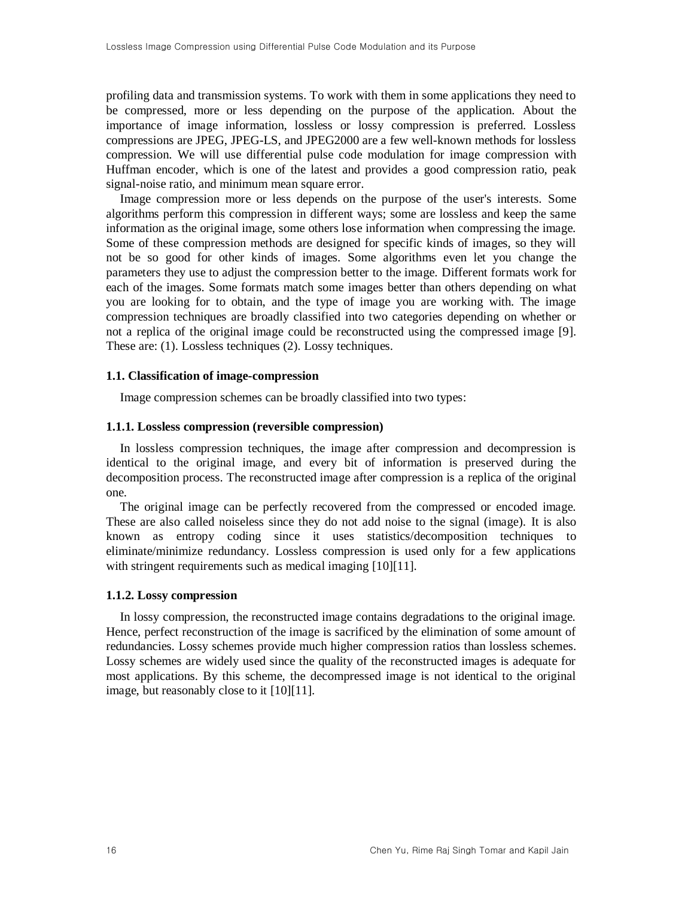profiling data and transmission systems. To work with them in some applications they need to be compressed, more or less depending on the purpose of the application. About the importance of image information, lossless or lossy compression is preferred. Lossless compressions are JPEG, JPEG-LS, and JPEG2000 are a few well-known methods for lossless compression. We will use differential pulse code modulation for image compression with Huffman encoder, which is one of the latest and provides a good compression ratio, peak signal-noise ratio, and minimum mean square error.

Image compression more or less depends on the purpose of the user's interests. Some algorithms perform this compression in different ways; some are lossless and keep the same information as the original image, some others lose information when compressing the image. Some of these compression methods are designed for specific kinds of images, so they will not be so good for other kinds of images. Some algorithms even let you change the parameters they use to adjust the compression better to the image. Different formats work for each of the images. Some formats match some images better than others depending on what you are looking for to obtain, and the type of image you are working with. The image compression techniques are broadly classified into two categories depending on whether or not a replica of the original image could be reconstructed using the compressed image [\[9\].](#page-6-0) These are: (1). Lossless techniques (2). Lossy techniques.

#### **1.1. Classification of image-compression**

Image compression schemes can be broadly classified into two types:

#### **1.1.1. Lossless compression (reversible compression)**

In lossless compression techniques, the image after compression and decompression is identical to the original image, and every bit of information is preserved during the decomposition process. The reconstructed image after compression is a replica of the original one.

The original image can be perfectly recovered from the compressed or encoded image. These are also called noiseless since they do not add noise to the signal (image). It is also known as entropy coding since it uses statistics/decomposition techniques to eliminate/minimize redundancy. Lossless compression is used only for a few applications with stringent requirements such as medical imaging [\[10\]\[11\].](#page-6-1)

#### **1.1.2. Lossy compression**

In lossy compression, the reconstructed image contains degradations to the original image. Hence, perfect reconstruction of the image is sacrificed by the elimination of some amount of redundancies. Lossy schemes provide much higher compression ratios than lossless schemes. Lossy schemes are widely used since the quality of the reconstructed images is adequate for most applications. By this scheme, the decompressed image is not identical to the original image, but reasonably close to it [\[10\]\[11\].](#page-6-1)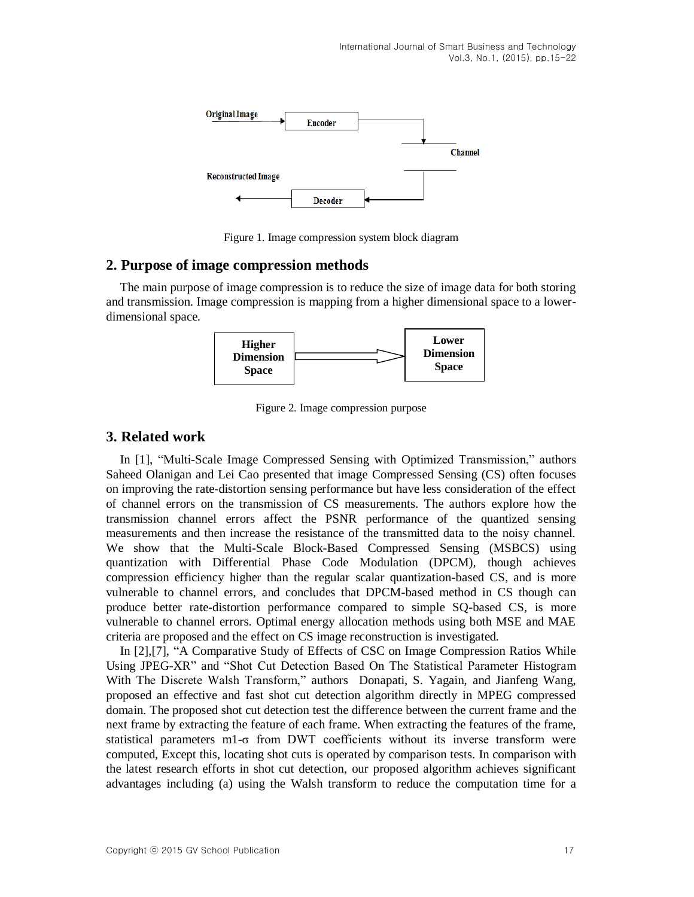

Figure 1. Image compression system block diagram

### **2. Purpose of image compression methods**

The main purpose of image compression is to reduce the size of image data for both storing and transmission. Image compression is mapping from a higher dimensional space to a lowerdimensional space.



Figure 2. Image compression purpose

# **3. Related work**

In [\[1\],](#page-6-2) "Multi-Scale Image Compressed Sensing with Optimized Transmission," authors Saheed Olanigan and Lei Cao presented that image Compressed Sensing (CS) often focuses on improving the rate-distortion sensing performance but have less consideration of the effect of channel errors on the transmission of CS measurements. The authors explore how the transmission channel errors affect the PSNR performance of the quantized sensing measurements and then increase the resistance of the transmitted data to the noisy channel. We show that the Multi-Scale Block-Based Compressed Sensing (MSBCS) using quantization with Differential Phase Code Modulation (DPCM), though achieves compression efficiency higher than the regular scalar quantization-based CS, and is more vulnerable to channel errors, and concludes that DPCM-based method in CS though can produce better rate-distortion performance compared to simple SQ-based CS, is more vulnerable to channel errors. Optimal energy allocation methods using both MSE and MAE criteria are proposed and the effect on CS image reconstruction is investigated.

In [\[2\],](#page-6-3)[\[7\],](#page-6-4) "A Comparative Study of Effects of CSC on Image Compression Ratios While Using JPEG-XR" and "Shot Cut Detection Based On The Statistical Parameter Histogram With The Discrete Walsh Transform," authors Donapati, S. Yagain, and Jianfeng Wang, proposed an effective and fast shot cut detection algorithm directly in MPEG compressed domain. The proposed shot cut detection test the difference between the current frame and the next frame by extracting the feature of each frame. When extracting the features of the frame, statistical parameters m1-σ from DWT coefficients without its inverse transform were computed, Except this, locating shot cuts is operated by comparison tests. In comparison with the latest research efforts in shot cut detection, our proposed algorithm achieves significant advantages including (a) using the Walsh transform to reduce the computation time for a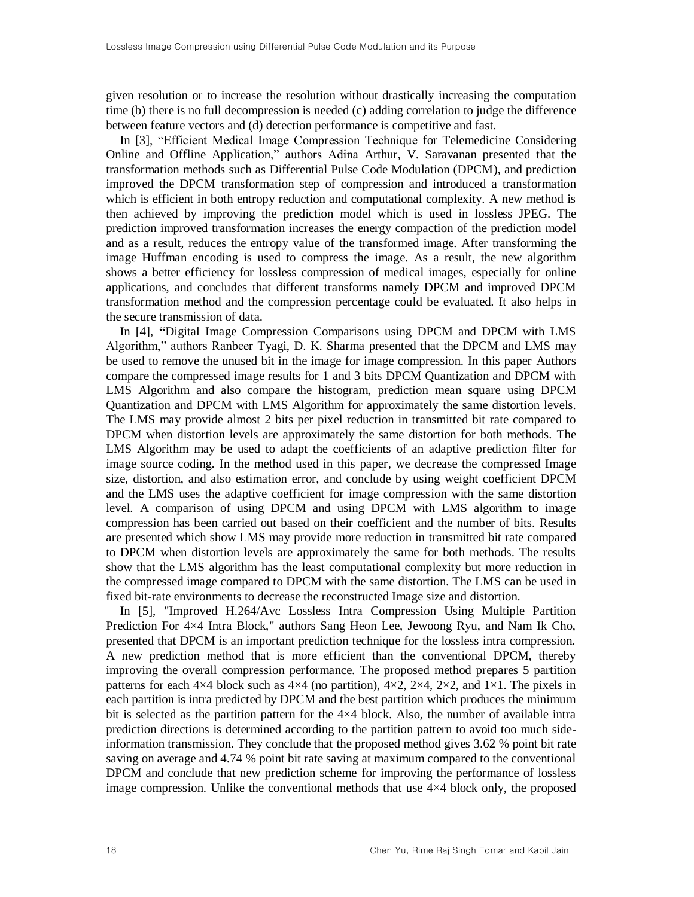given resolution or to increase the resolution without drastically increasing the computation time (b) there is no full decompression is needed (c) adding correlation to judge the difference between feature vectors and (d) detection performance is competitive and fast.

In [\[3\],](#page-6-5) "Efficient Medical Image Compression Technique for Telemedicine Considering Online and Offline Application*,*" authors Adina Arthur, V. Saravanan presented that the transformation methods such as Differential Pulse Code Modulation (DPCM), and prediction improved the DPCM transformation step of compression and introduced a transformation which is efficient in both entropy reduction and computational complexity. A new method is then achieved by improving the prediction model which is used in lossless JPEG. The prediction improved transformation increases the energy compaction of the prediction model and as a result, reduces the entropy value of the transformed image. After transforming the image Huffman encoding is used to compress the image. As a result, the new algorithm shows a better efficiency for lossless compression of medical images, especially for online applications, and concludes that different transforms namely DPCM and improved DPCM transformation method and the compression percentage could be evaluated. It also helps in the secure transmission of data.

In [\[4\],](#page-6-6) **"**Digital Image Compression Comparisons using DPCM and DPCM with LMS Algorithm," authors Ranbeer Tyagi, D. K. Sharma presented that the DPCM and LMS may be used to remove the unused bit in the image for image compression. In this paper Authors compare the compressed image results for 1 and 3 bits DPCM Quantization and DPCM with LMS Algorithm and also compare the histogram, prediction mean square using DPCM Quantization and DPCM with LMS Algorithm for approximately the same distortion levels. The LMS may provide almost 2 bits per pixel reduction in transmitted bit rate compared to DPCM when distortion levels are approximately the same distortion for both methods. The LMS Algorithm may be used to adapt the coefficients of an adaptive prediction filter for image source coding. In the method used in this paper, we decrease the compressed Image size, distortion, and also estimation error, and conclude by using weight coefficient DPCM and the LMS uses the adaptive coefficient for image compression with the same distortion level. A comparison of using DPCM and using DPCM with LMS algorithm to image compression has been carried out based on their coefficient and the number of bits. Results are presented which show LMS may provide more reduction in transmitted bit rate compared to DPCM when distortion levels are approximately the same for both methods. The results show that the LMS algorithm has the least computational complexity but more reduction in the compressed image compared to DPCM with the same distortion. The LMS can be used in fixed bit-rate environments to decrease the reconstructed Image size and distortion.

In [\[5\],](#page-6-7) "Improved H.264/Avc Lossless Intra Compression Using Multiple Partition Prediction For 4×4 Intra Block," authors Sang Heon Lee, Jewoong Ryu, and Nam Ik Cho, presented that DPCM is an important prediction technique for the lossless intra compression. A new prediction method that is more efficient than the conventional DPCM, thereby improving the overall compression performance. The proposed method prepares 5 partition patterns for each  $4\times4$  block such as  $4\times4$  (no partition),  $4\times2$ ,  $2\times4$ ,  $2\times2$ , and  $1\times1$ . The pixels in each partition is intra predicted by DPCM and the best partition which produces the minimum bit is selected as the partition pattern for the  $4\times4$  block. Also, the number of available intra prediction directions is determined according to the partition pattern to avoid too much sideinformation transmission. They conclude that the proposed method gives 3.62 % point bit rate saving on average and 4.74 % point bit rate saving at maximum compared to the conventional DPCM and conclude that new prediction scheme for improving the performance of lossless image compression. Unlike the conventional methods that use  $4\times4$  block only, the proposed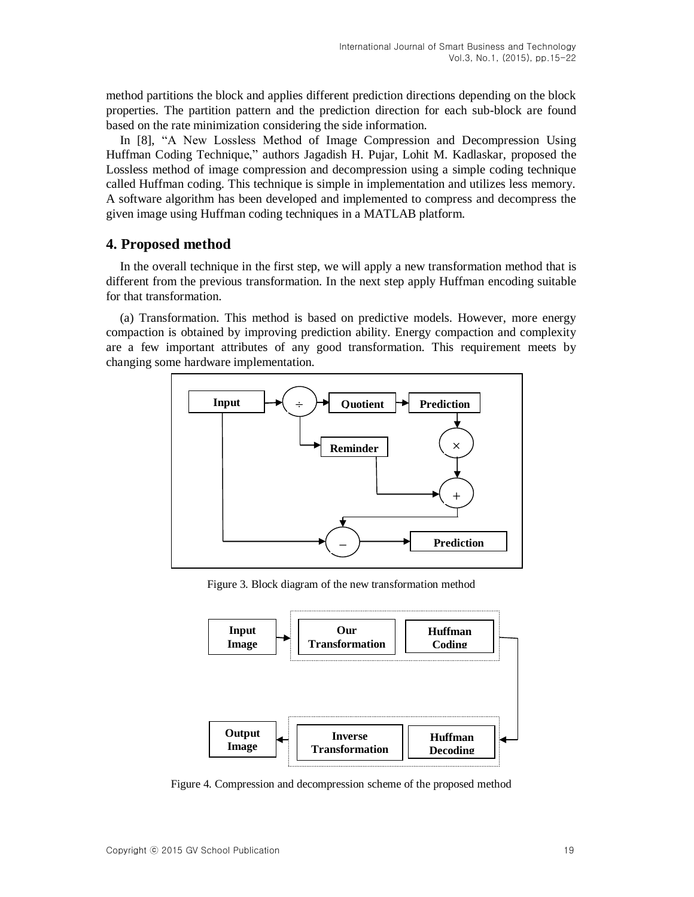method partitions the block and applies different prediction directions depending on the block properties. The partition pattern and the prediction direction for each sub-block are found based on the rate minimization considering the side information.

In [\[8\],](#page-6-8) "A New Lossless Method of Image Compression and Decompression Using Huffman Coding Technique," authors Jagadish H. Pujar, Lohit M. Kadlaskar, proposed the Lossless method of image compression and decompression using a simple coding technique called Huffman coding. This technique is simple in implementation and utilizes less memory. A software algorithm has been developed and implemented to compress and decompress the given image using Huffman coding techniques in a MATLAB platform.

# **4. Proposed method**

In the overall technique in the first step, we will apply a new transformation method that is different from the previous transformation. In the next step apply Huffman encoding suitable for that transformation.

(a) Transformation. This method is based on predictive models. However, more energy compaction is obtained by improving prediction ability. Energy compaction and complexity are a few important attributes of any good transformation. This requirement meets by changing some hardware implementation.



Figure 3. Block diagram of the new transformation method



Figure 4. Compression and decompression scheme of the proposed method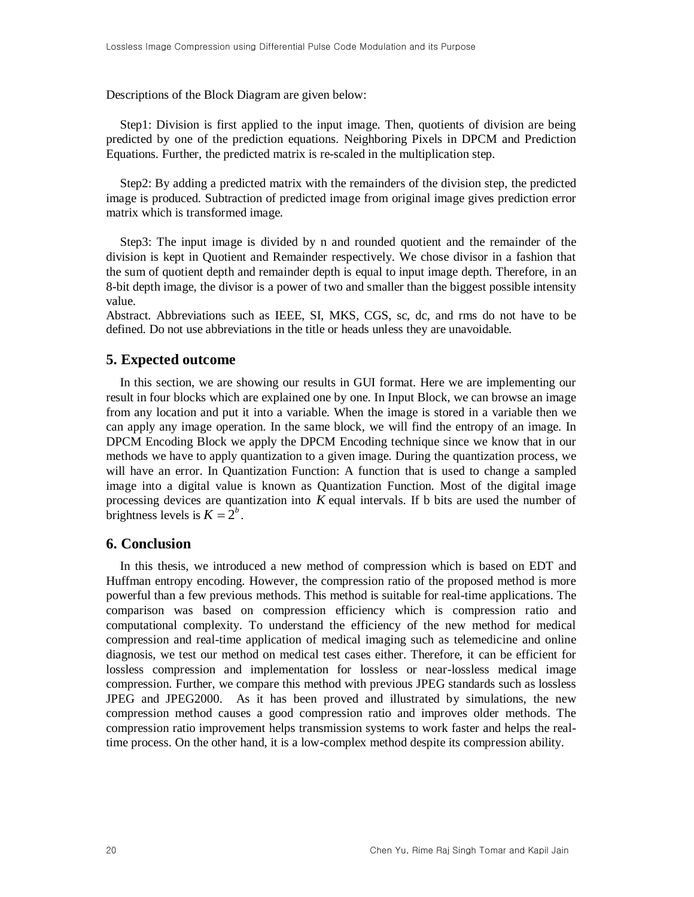Descriptions of the Block Diagram are given below:

Step1: Division is first applied to the input image. Then, quotients of division are being predicted by one of the prediction equations. Neighboring Pixels in DPCM and Prediction Equations. Further, the predicted matrix is re-scaled in the multiplication step.

Step2: By adding a predicted matrix with the remainders of the division step, the predicted image is produced. Subtraction of predicted image from original image gives prediction error matrix which is transformed image.

Step3: The input image is divided by n and rounded quotient and the remainder of the division is kept in Quotient and Remainder respectively. We chose divisor in a fashion that the sum of quotient depth and remainder depth is equal to input image depth. Therefore, in an 8-bit depth image, the divisor is a power of two and smaller than the biggest possible intensity value.

Abstract. Abbreviations such as IEEE, SI, MKS, CGS, sc, dc, and rms do not have to be defined. Do not use abbreviations in the title or heads unless they are unavoidable.

### **5. Expected outcome**

In this section, we are showing our results in GUI format. Here we are implementing our result in four blocks which are explained one by one. In Input Block, we can browse an image from any location and put it into a variable. When the image is stored in a variable then we can apply any image operation. In the same block, we will find the entropy of an image. In DPCM Encoding Block we apply the DPCM Encoding technique since we know that in our methods we have to apply quantization to a given image. During the quantization process, we will have an error. In Quantization Function: A function that is used to change a sampled image into a digital value is known as Quantization Function. Most of the digital image processing devices are quantization into *K* equal intervals. If b bits are used the number of brightness levels is  $K = 2^b$ .

# **6. Conclusion**

In this thesis, we introduced a new method of compression which is based on EDT and Huffman entropy encoding. However, the compression ratio of the proposed method is more powerful than a few previous methods. This method is suitable for real-time applications. The comparison was based on compression efficiency which is compression ratio and computational complexity. To understand the efficiency of the new method for medical compression and real-time application of medical imaging such as telemedicine and online diagnosis, we test our method on medical test cases either. Therefore, it can be efficient for lossless compression and implementation for lossless or near-lossless medical image compression. Further, we compare this method with previous JPEG standards such as lossless JPEG and JPEG2000. As it has been proved and illustrated by simulations, the new compression method causes a good compression ratio and improves older methods. The compression ratio improvement helps transmission systems to work faster and helps the realtime process. On the other hand, it is a low-complex method despite its compression ability.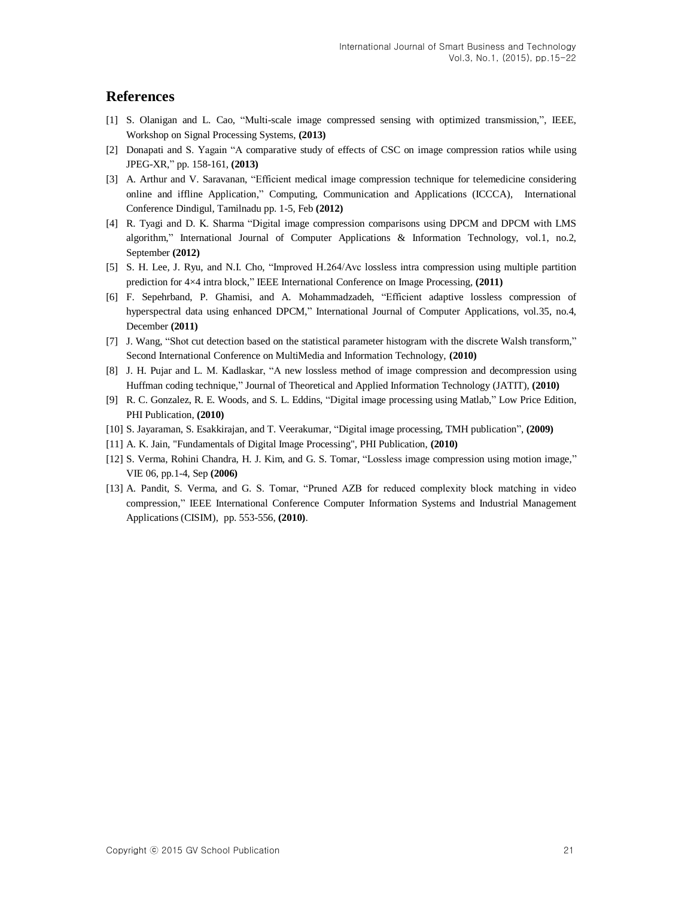# **References**

- <span id="page-6-2"></span>[1] S. Olanigan and L. Cao, "Multi-scale image compressed sensing with optimized transmission,", IEEE, Workshop on Signal Processing Systems, **(2013)**
- <span id="page-6-3"></span>[2] Donapati and S. Yagain "A comparative study of effects of CSC on image compression ratios while using JPEG-XR," pp. 158-161, **(2013)**
- <span id="page-6-5"></span>[3] A. Arthur and V. Saravanan, "Efficient medical image compression technique for telemedicine considering online and iffline Application," Computing, Communication and Applications (ICCCA), International Conference Dindigul, Tamilnadu pp. 1-5, Feb **(2012)**
- <span id="page-6-6"></span>[4] R. Tyagi and D. K. Sharma "Digital image compression comparisons using DPCM and DPCM with LMS algorithm," International Journal of Computer Applications & Information Technology, vol.1, no.2, September **(2012)**
- <span id="page-6-7"></span>[5] S. H. Lee, J. Ryu, and N.I. Cho, "Improved H.264/Avc lossless intra compression using multiple partition prediction for 4×4 intra block," IEEE International Conference on Image Processing, **(2011)**
- [6] F. Sepehrband, P. Ghamisi, and A. Mohammadzadeh, "Efficient adaptive lossless compression of hyperspectral data using enhanced DPCM," International Journal of Computer Applications, vol.35, no.4, December **(2011)**
- <span id="page-6-4"></span>[7] J. Wang, "Shot cut detection based on the statistical parameter histogram with the discrete Walsh transform," Second International Conference on MultiMedia and Information Technology, **(2010)**
- <span id="page-6-8"></span>[8] J. H. Pujar and L. M. Kadlaskar, "A new lossless method of image compression and decompression using Huffman coding technique," Journal of Theoretical and Applied Information Technology (JATIT), **(2010)**
- <span id="page-6-0"></span>[9] R. C. Gonzalez, R. E. Woods, and S. L. Eddins, "Digital image processing using Matlab," Low Price Edition, PHI Publication, **(2010)**
- <span id="page-6-1"></span>[10] S. Jayaraman, S. Esakkirajan, and T. Veerakumar, "Digital image processing, TMH publication", **(2009)**
- [11] A. K. Jain, "Fundamentals of Digital Image Processing", PHI Publication, **(2010)**
- [12] S. Verma, Rohini Chandra, H. J. Kim, and G. S. Tomar, "Lossless image compression using motion image," VIE 06, pp.1-4, Sep **(2006)**
- [13] A. Pandit, S. Verma, and G. S. Tomar, "Pruned AZB for reduced complexity block matching in video compression," IEEE International Conference Computer Information Systems and Industrial Management Applications (CISIM), pp. 553-556, **(2010)**.